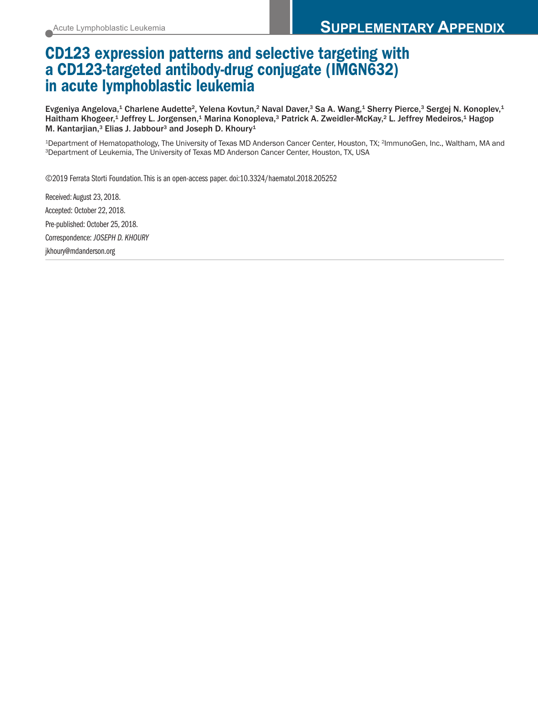## **CD123 expression patterns and selective targeting with a CD123-targeted antibody-drug conjugate (IMGN632) in acute lymphoblastic leukemia**

Evgeniya Angelova,<sup>1</sup> Charlene Audette<sup>2</sup>, Yelena Kovtun,<sup>2</sup> Naval Daver,<sup>3</sup> Sa A. Wang,<sup>1</sup> Sherry Pierce,<sup>3</sup> Sergej N. Konoplev,<sup>1</sup> Haitham Khogeer,<sup>1</sup> Jeffrey L. Jorgensen,<sup>1</sup> Marina Konopleva,<sup>3</sup> Patrick A. Zweidler-McKay,<sup>2</sup> L. Jeffrey Medeiros,<sup>1</sup> Hagop M. Kantarjian, <sup>3</sup> Elias J. Jabbour3 and Joseph D. Khoury1

1Department of Hematopathology, The University of Texas MD Anderson Cancer Center, Houston, TX; 2ImmunoGen, Inc., Waltham, MA and 3Department of Leukemia, The University of Texas MD Anderson Cancer Center, Houston, TX, USA

©2019 Ferrata Storti Foundation.This is an open-access paper. doi:10.3324/haematol.2018.205252

Received: August 23, 2018. Accepted: October 22, 2018. Pre-published: October 25, 2018. Correspondence: *JOSEPH D. KHOURY* jkhoury@mdanderson.org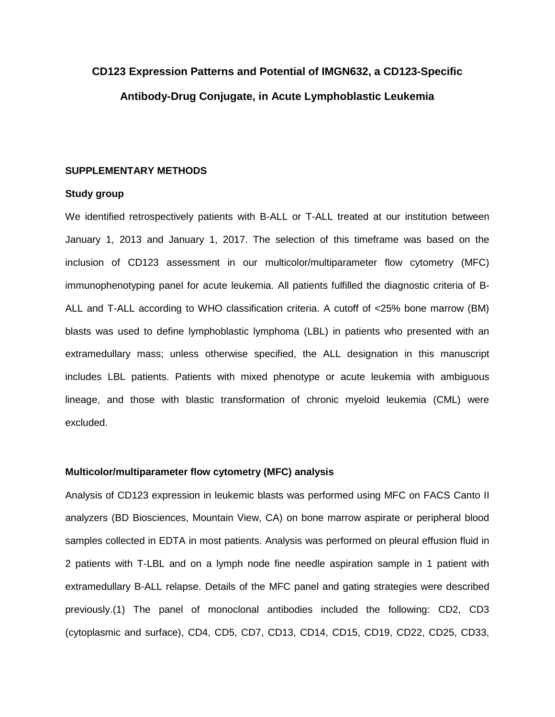# **CD123 Expression Patterns and Potential of IMGN632, a CD123-Specific Antibody-Drug Conjugate, in Acute Lymphoblastic Leukemia**

#### **SUPPLEMENTARY METHODS**

#### **Study group**

We identified retrospectively patients with B-ALL or T-ALL treated at our institution between January 1, 2013 and January 1, 2017. The selection of this timeframe was based on the inclusion of CD123 assessment in our multicolor/multiparameter flow cytometry (MFC) immunophenotyping panel for acute leukemia. All patients fulfilled the diagnostic criteria of B-ALL and T-ALL according to WHO classification criteria. A cutoff of <25% bone marrow (BM) blasts was used to define lymphoblastic lymphoma (LBL) in patients who presented with an extramedullary mass; unless otherwise specified, the ALL designation in this manuscript includes LBL patients. Patients with mixed phenotype or acute leukemia with ambiguous lineage, and those with blastic transformation of chronic myeloid leukemia (CML) were excluded.

#### **Multicolor/multiparameter flow cytometry (MFC) analysis**

Analysis of CD123 expression in leukemic blasts was performed using MFC on FACS Canto II analyzers (BD Biosciences, Mountain View, CA) on bone marrow aspirate or peripheral blood samples collected in EDTA in most patients. Analysis was performed on pleural effusion fluid in 2 patients with T-LBL and on a lymph node fine needle aspiration sample in 1 patient with extramedullary B-ALL relapse. Details of the MFC panel and gating strategies were described previously.(1) The panel of monoclonal antibodies included the following: CD2, CD3 (cytoplasmic and surface), CD4, CD5, CD7, CD13, CD14, CD15, CD19, CD22, CD25, CD33,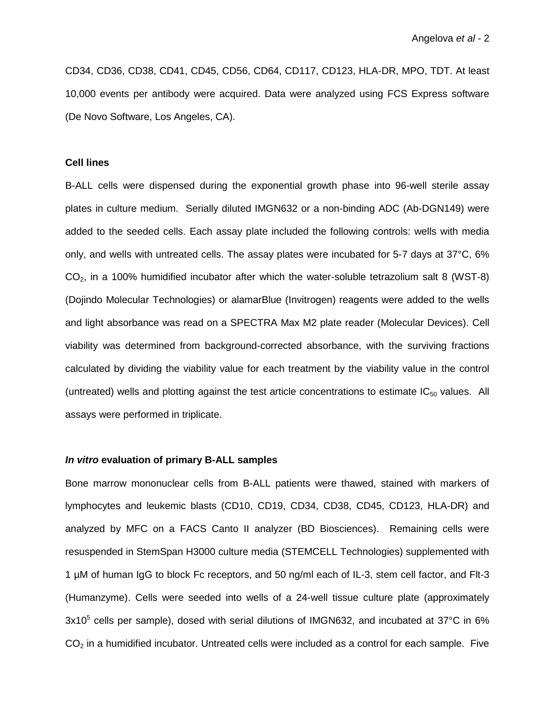CD34, CD36, CD38, CD41, CD45, CD56, CD64, CD117, CD123, HLA-DR, MPO, TDT. At least 10,000 events per antibody were acquired. Data were analyzed using FCS Express software (De Novo Software, Los Angeles, CA).

#### **Cell lines**

B-ALL cells were dispensed during the exponential growth phase into 96-well sterile assay plates in culture medium. Serially diluted IMGN632 or a non-binding ADC (Ab-DGN149) were added to the seeded cells. Each assay plate included the following controls: wells with media only, and wells with untreated cells. The assay plates were incubated for 5-7 days at 37°C, 6%  $CO<sub>2</sub>$ , in a 100% humidified incubator after which the water-soluble tetrazolium salt 8 (WST-8) (Dojindo Molecular Technologies) or alamarBlue (Invitrogen) reagents were added to the wells and light absorbance was read on a SPECTRA Max M2 plate reader (Molecular Devices). Cell viability was determined from background-corrected absorbance, with the surviving fractions calculated by dividing the viability value for each treatment by the viability value in the control (untreated) wells and plotting against the test article concentrations to estimate  $IC_{50}$  values. All assays were performed in triplicate.

#### *In vitro* **evaluation of primary B-ALL samples**

Bone marrow mononuclear cells from B-ALL patients were thawed, stained with markers of lymphocytes and leukemic blasts (CD10, CD19, CD34, CD38, CD45, CD123, HLA-DR) and analyzed by MFC on a FACS Canto II analyzer (BD Biosciences). Remaining cells were resuspended in StemSpan H3000 culture media (STEMCELL Technologies) supplemented with 1 µM of human IgG to block Fc receptors, and 50 ng/ml each of IL-3, stem cell factor, and Flt-3 (Humanzyme). Cells were seeded into wells of a 24-well tissue culture plate (approximately 3x10<sup>5</sup> cells per sample), dosed with serial dilutions of IMGN632, and incubated at 37°C in 6%  $CO<sub>2</sub>$  in a humidified incubator. Untreated cells were included as a control for each sample. Five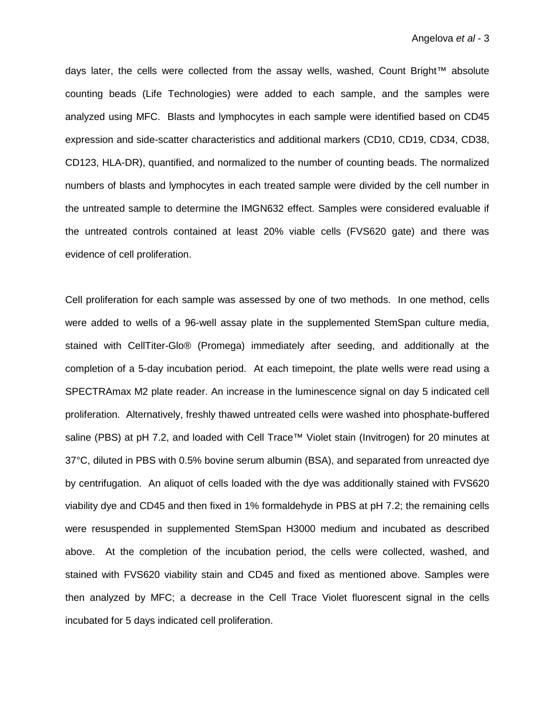days later, the cells were collected from the assay wells, washed, Count Bright™ absolute counting beads (Life Technologies) were added to each sample, and the samples were analyzed using MFC. Blasts and lymphocytes in each sample were identified based on CD45 expression and side-scatter characteristics and additional markers (CD10, CD19, CD34, CD38, CD123, HLA-DR), quantified, and normalized to the number of counting beads. The normalized numbers of blasts and lymphocytes in each treated sample were divided by the cell number in the untreated sample to determine the IMGN632 effect. Samples were considered evaluable if the untreated controls contained at least 20% viable cells (FVS620 gate) and there was evidence of cell proliferation.

Cell proliferation for each sample was assessed by one of two methods. In one method, cells were added to wells of a 96-well assay plate in the supplemented StemSpan culture media, stained with CellTiter-Glo® (Promega) immediately after seeding, and additionally at the completion of a 5-day incubation period. At each timepoint, the plate wells were read using a SPECTRAmax M2 plate reader. An increase in the luminescence signal on day 5 indicated cell proliferation. Alternatively, freshly thawed untreated cells were washed into phosphate-buffered saline (PBS) at pH 7.2, and loaded with Cell Trace™ Violet stain (Invitrogen) for 20 minutes at 37°C, diluted in PBS with 0.5% bovine serum albumin (BSA), and separated from unreacted dye by centrifugation. An aliquot of cells loaded with the dye was additionally stained with FVS620 viability dye and CD45 and then fixed in 1% formaldehyde in PBS at pH 7.2; the remaining cells were resuspended in supplemented StemSpan H3000 medium and incubated as described above. At the completion of the incubation period, the cells were collected, washed, and stained with FVS620 viability stain and CD45 and fixed as mentioned above. Samples were then analyzed by MFC; a decrease in the Cell Trace Violet fluorescent signal in the cells incubated for 5 days indicated cell proliferation.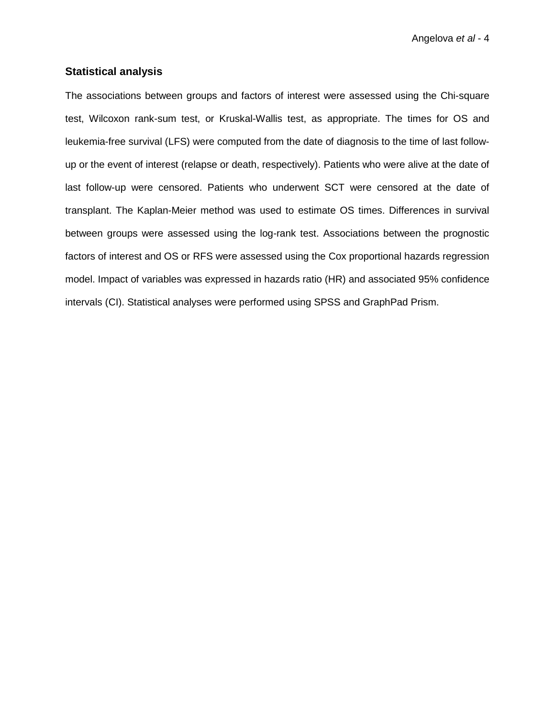Angelova *et al* - 4

### **Statistical analysis**

The associations between groups and factors of interest were assessed using the Chi-square test, Wilcoxon rank-sum test, or Kruskal-Wallis test, as appropriate. The times for OS and leukemia-free survival (LFS) were computed from the date of diagnosis to the time of last followup or the event of interest (relapse or death, respectively). Patients who were alive at the date of last follow-up were censored. Patients who underwent SCT were censored at the date of transplant. The Kaplan-Meier method was used to estimate OS times. Differences in survival between groups were assessed using the log-rank test. Associations between the prognostic factors of interest and OS or RFS were assessed using the Cox proportional hazards regression model. Impact of variables was expressed in hazards ratio (HR) and associated 95% confidence intervals (CI). Statistical analyses were performed using SPSS and GraphPad Prism.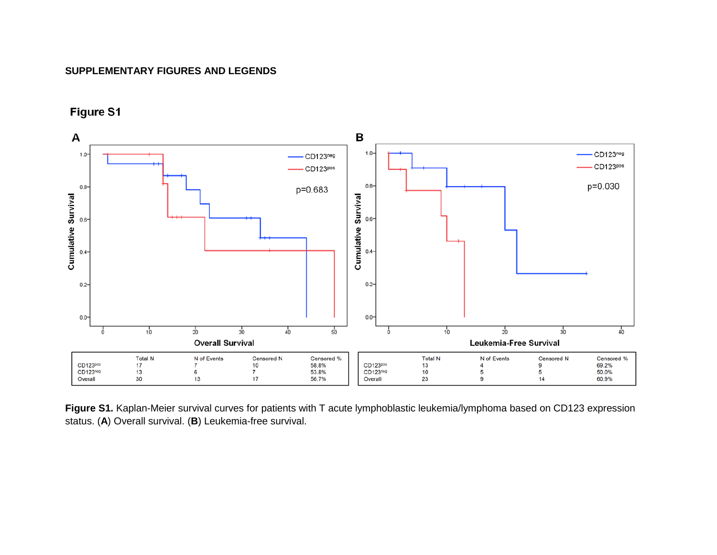## **SUPPLEMENTARY FIGURES AND LEGENDS**



Figure S1

**Figure S1.** Kaplan-Meier survival curves for patients with T acute lymphoblastic leukemia/lymphoma based on CD123 expression status. (**A**) Overall survival. (**B**) Leukemia-free survival.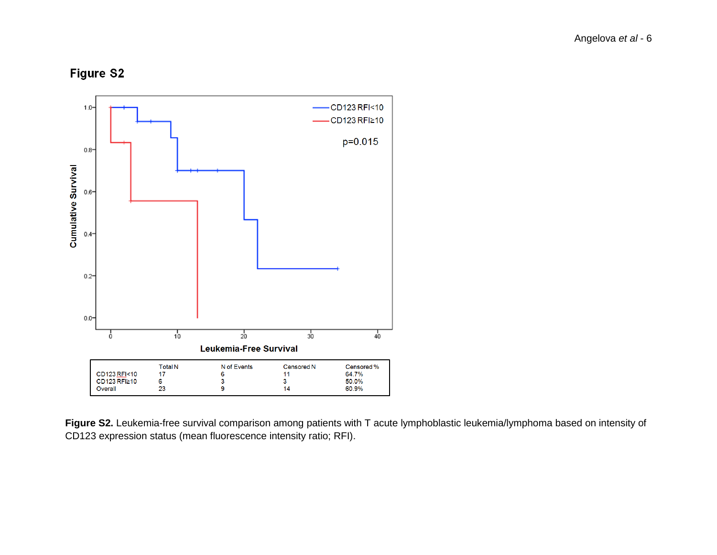**Figure S2** 



**Figure S2.** Leukemia-free survival comparison among patients with T acute lymphoblastic leukemia/lymphoma based on intensity of CD123 expression status (mean fluorescence intensity ratio; RFI).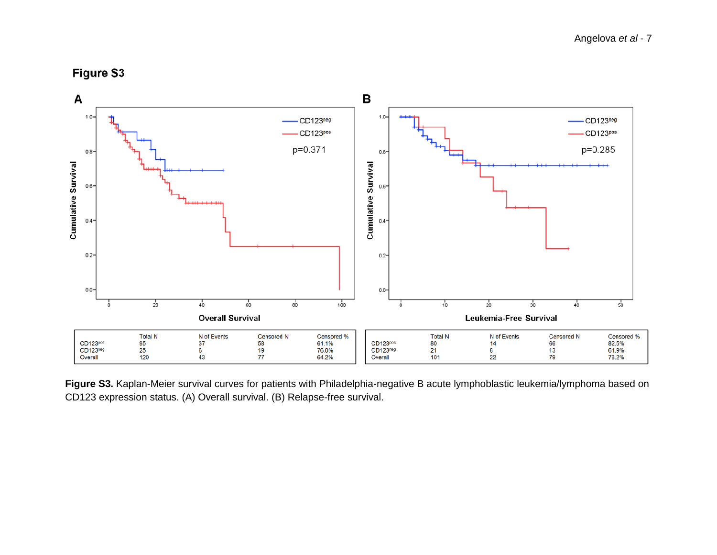



Figure S3. Kaplan-Meier survival curves for patients with Philadelphia-negative B acute lymphoblastic leukemia/lymphoma based on CD123 expression status. (A) Overall survival. (B) Relapse-free survival.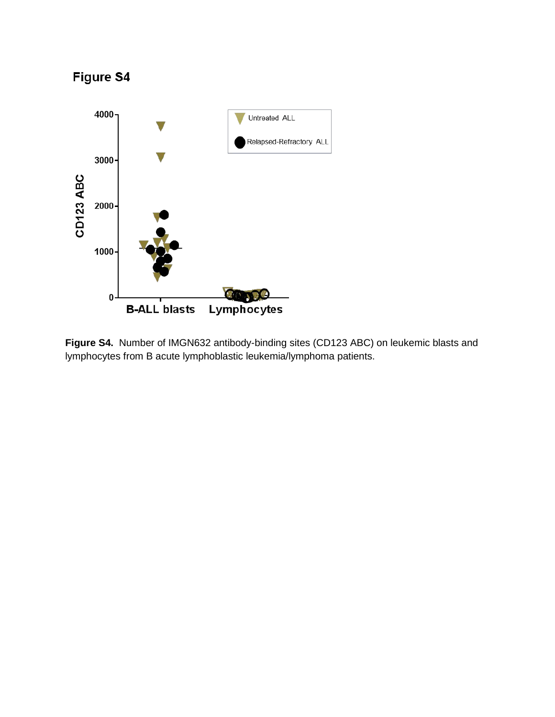

**Figure S4.** Number of IMGN632 antibody-binding sites (CD123 ABC) on leukemic blasts and lymphocytes from B acute lymphoblastic leukemia/lymphoma patients.